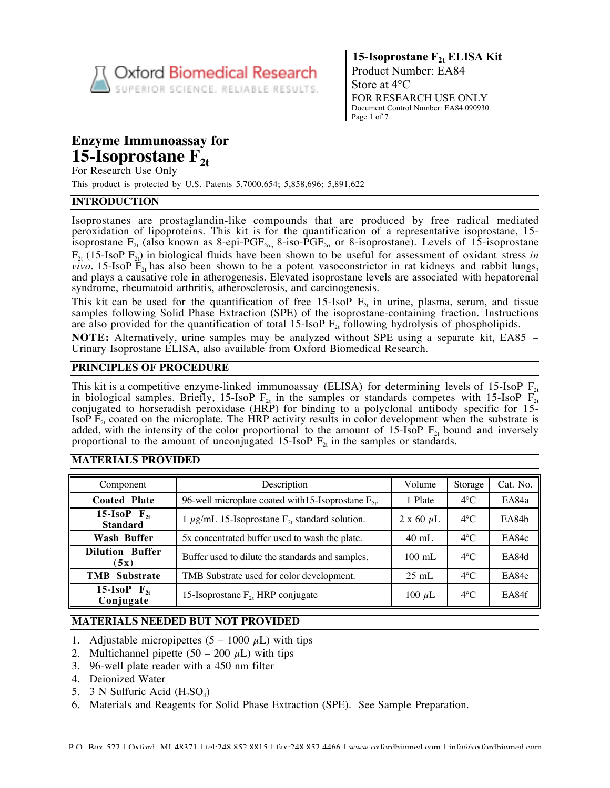

**15-Isoprostane F2t ELISA Kit** Product Number: EA84 Store at 4°C FOR RESEARCH USE ONLY Document Control Number: EA84.090930 Page 1 of 7

## **Enzyme Immunoassay for 15-Isoprostane F**<sub>2t</sub>

For Research Use Only

This product is protected by U.S. Patents 5,7000.654; 5,858,696; 5,891,622

## **INTRODUCTION**

Isoprostanes are prostaglandin-like compounds that are produced by free radical mediated peroxidation of lipoproteins. This kit is for the quantification of a representative isoprostane, 15 isoprostane  $F_{2t}$  (also known as 8-epi-PGF<sub>2 $\alpha$ </sub>, 8-iso-PGF<sub>2 $\alpha$ </sub> or 8-isoprostane). Levels of 15-isoprostane  $F_{2t}$  (15-IsoP  $F_{2t}$ ) in biological fluids have been shown to be useful for assessment of oxidant stress *in vivo*. 15-IsoP  $\mathbf{F}_{2t}$  has also been shown to be a potent vasoconstrictor in rat kidneys and rabbit lungs, and plays a causative role in atherogenesis. Elevated isoprostane levels are associated with hepatorenal syndrome, rheumatoid arthritis, atherosclerosis, and carcinogenesis.

This kit can be used for the quantification of free 15-IsoP  $F<sub>2</sub>$  in urine, plasma, serum, and tissue samples following Solid Phase Extraction (SPE) of the isoprostane-containing fraction. Instructions are also provided for the quantification of total 15-IsoP  $F_{2t}$  following hydrolysis of phospholipids.

**NOTE:** Alternatively, urine samples may be analyzed without SPE using a separate kit, EA85 – Urinary Isoprostane ELISA, also available from Oxford Biomedical Research.

## **PRINCIPLES OF PROCEDURE**

This kit is a competitive enzyme-linked immunoassay (ELISA) for determining levels of 15-IsoP  $F_{2t}$ in biological samples. Briefly, 15-IsoP  $F_{2t}$  in the samples or standards competes with 15-IsoP  $F_{2t}$ conjugated to horseradish peroxidase (HRP) for binding to a polyclonal antibody specific for 15- IsoP  $\vec{F}_{2t}$  coated on the microplate. The HRP activity results in color development when the substrate is added, with the intensity of the color proportional to the amount of 15-IsoP  $F_{2t}$  bound and inversely proportional to the amount of unconjugated 15-IsoP  $F_{2t}$  in the samples or standards.

## **MATERIALS PROVIDED**

| Component                           | Description                                                    | Volume              | Storage       | Cat. No. |
|-------------------------------------|----------------------------------------------------------------|---------------------|---------------|----------|
| <b>Coated Plate</b>                 | 96-well microplate coated with 15-Isoprostane $F_{2t}$ .       | 1 Plate             | $4^{\circ}$ C | EA84a    |
| 15-IsoP $F_{2t}$<br><b>Standard</b> | 1 $\mu$ g/mL 15-Isoprostane F <sub>2t</sub> standard solution. | $2 \times 60 \mu L$ | $4^{\circ}$ C | EA84b    |
| Wash Buffer                         | 5x concentrated buffer used to wash the plate.                 | $40 \text{ mL}$     | $4^{\circ}$ C | EA84c    |
| <b>Dilution Buffer</b><br>(5x)      | Buffer used to dilute the standards and samples.               | $100 \text{ mL}$    | $4^{\circ}$ C | EA84d    |
| <b>TMB</b> Substrate                | TMB Substrate used for color development.                      | $25$ mL             | $4^{\circ}$ C | EA84e    |
| 15-IsoP $F_{2t}$<br>Conjugate       | 15-Isoprostane $F_{2t}$ HRP conjugate                          | 100 $\mu$ L         | $4^{\circ}$ C | EA84f    |

## **MATERIALS NEEDED BUT NOT PROVIDED**

- 1. Adjustable micropipettes  $(5 1000 \mu L)$  with tips
- 2. Multichannel pipette  $(50 200 \mu L)$  with tips
- 3. 96-well plate reader with a 450 nm filter
- 4. Deionized Water
- 5. 3 N Sulfuric Acid  $(H_2SO_4)$
- 6. Materials and Reagents for Solid Phase Extraction (SPE). See Sample Preparation.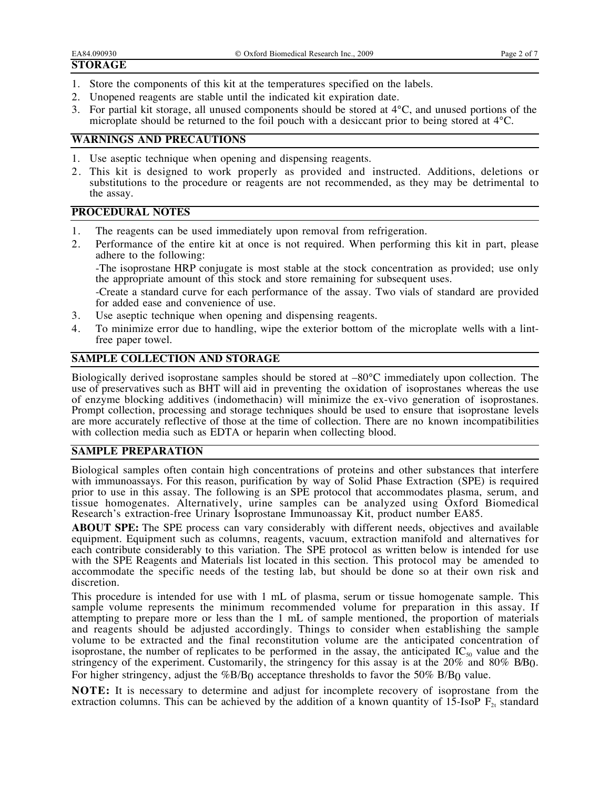- 2. Unopened reagents are stable until the indicated kit expiration date.
- 3. For partial kit storage, all unused components should be stored at 4°C, and unused portions of the microplate should be returned to the foil pouch with a desiccant prior to being stored at 4°C.

## **WARNINGS AND PRECAUTIONS**

- 1. Use aseptic technique when opening and dispensing reagents.
- 2. This kit is designed to work properly as provided and instructed. Additions, deletions or substitutions to the procedure or reagents are not recommended, as they may be detrimental to the assay.

## **PROCEDURAL NOTES**

- 1. The reagents can be used immediately upon removal from refrigeration.
- 2. Performance of the entire kit at once is not required. When performing this kit in part, please adhere to the following:

-The isoprostane HRP conjugate is most stable at the stock concentration as provided; use only the appropriate amount of this stock and store remaining for subsequent uses.

-Create a standard curve for each performance of the assay. Two vials of standard are provided for added ease and convenience of use.

- 3. Use aseptic technique when opening and dispensing reagents.
- 4. To minimize error due to handling, wipe the exterior bottom of the microplate wells with a lintfree paper towel.

## **SAMPLE COLLECTION AND STORAGE**

Biologically derived isoprostane samples should be stored at –80°C immediately upon collection. The use of preservatives such as BHT will aid in preventing the oxidation of isoprostanes whereas the use of enzyme blocking additives (indomethacin) will minimize the ex-vivo generation of isoprostanes. Prompt collection, processing and storage techniques should be used to ensure that isoprostane levels are more accurately reflective of those at the time of collection. There are no known incompatibilities with collection media such as EDTA or heparin when collecting blood.

## **SAMPLE PREPARATION**

Biological samples often contain high concentrations of proteins and other substances that interfere with immunoassays. For this reason, purification by way of Solid Phase Extraction (SPE) is required prior to use in this assay. The following is an SPE protocol that accommodates plasma, serum, and tissue homogenates. Alternatively, urine samples can be analyzed using Oxford Biomedical Research's extraction-free Urinary Isoprostane Immunoassay Kit, product number EA85.

**ABOUT SPE:** The SPE process can vary considerably with different needs, objectives and available equipment. Equipment such as columns, reagents, vacuum, extraction manifold and alternatives for each contribute considerably to this variation. The SPE protocol as written below is intended for use with the SPE Reagents and Materials list located in this section. This protocol may be amended to accommodate the specific needs of the testing lab, but should be done so at their own risk and discretion.

This procedure is intended for use with 1 mL of plasma, serum or tissue homogenate sample. This sample volume represents the minimum recommended volume for preparation in this assay. If attempting to prepare more or less than the 1 mL of sample mentioned, the proportion of materials and reagents should be adjusted accordingly. Things to consider when establishing the sample volume to be extracted and the final reconstitution volume are the anticipated concentration of isoprostane, the number of replicates to be performed in the assay, the anticipated  $IC_{50}$  value and the stringency of the experiment. Customarily, the stringency for this assay is at the 20% and 80% B/B0. For higher stringency, adjust the %B/B0 acceptance thresholds to favor the 50% B/B0 value.

**NOTE:** It is necessary to determine and adjust for incomplete recovery of isoprostane from the extraction columns. This can be achieved by the addition of a known quantity of 15-IsoP  $F_{2t}$  standard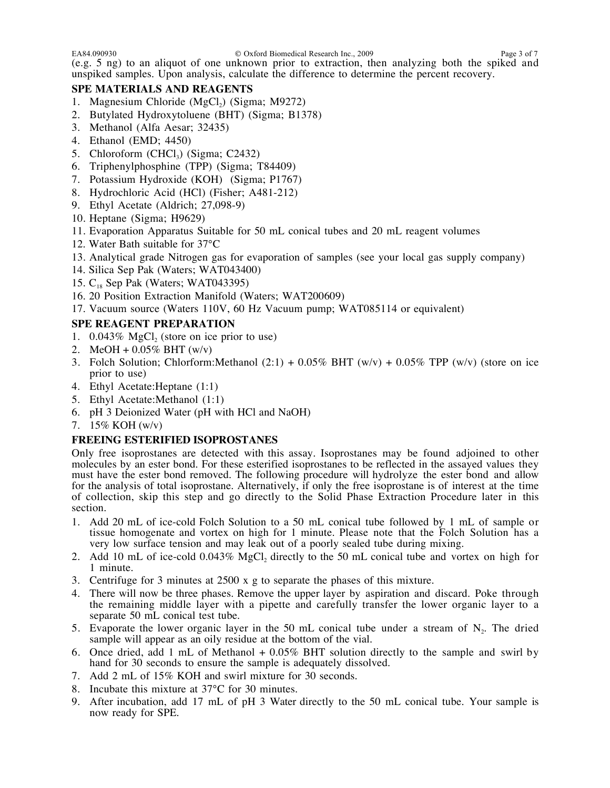EA84.090930 **Department Concrete Concrete Concrete Concrete Concrete Concrete Concrete Concrete Concrete Concrete Concrete Page 3 of 7** 

(e.g. 5 ng) to an aliquot of one unknown prior to extraction, then analyzing both the spiked and unspiked samples. Upon analysis, calculate the difference to determine the percent recovery.

## **SPE MATERIALS AND REAGENTS**

- 1. Magnesium Chloride (MgCl<sub>2</sub>) (Sigma; M9272)
- 2. Butylated Hydroxytoluene (BHT) (Sigma; B1378)
- 3. Methanol (Alfa Aesar; 32435)
- 4. Ethanol (EMD; 4450)
- 5. Chloroform (CHCl<sub>3</sub>) (Sigma; C2432)
- 6. Triphenylphosphine (TPP) (Sigma; T84409)
- 7. Potassium Hydroxide (KOH) (Sigma; P1767)
- 8. Hydrochloric Acid (HCl) (Fisher; A481-212)
- 9. Ethyl Acetate (Aldrich; 27,098-9)
- 10. Heptane (Sigma; H9629)
- 11. Evaporation Apparatus Suitable for 50 mL conical tubes and 20 mL reagent volumes
- 12. Water Bath suitable for 37°C
- 13. Analytical grade Nitrogen gas for evaporation of samples (see your local gas supply company)
- 14. Silica Sep Pak (Waters; WAT043400)
- 15. C18 Sep Pak (Waters; WAT043395)
- 16. 20 Position Extraction Manifold (Waters; WAT200609)
- 17. Vacuum source (Waters 110V, 60 Hz Vacuum pump; WAT085114 or equivalent)

## **SPE REAGENT PREPARATION**

- 1.  $0.043\%$  MgCl<sub>2</sub> (store on ice prior to use)
- 2. MeOH +  $0.05\%$  BHT (w/v)
- 3. Folch Solution; Chlorform:Methanol  $(2:1) + 0.05\%$  BHT (w/v) + 0.05% TPP (w/v) (store on ice prior to use)
- 4. Ethyl Acetate:Heptane (1:1)
- 5. Ethyl Acetate:Methanol (1:1)
- 6. pH 3 Deionized Water (pH with HCl and NaOH)
- 7. 15% KOH (w/v)

## **FREEING ESTERIFIED ISOPROSTANES**

Only free isoprostanes are detected with this assay. Isoprostanes may be found adjoined to other molecules by an ester bond. For these esterified isoprostanes to be reflected in the assayed values they must have the ester bond removed. The following procedure will hydrolyze the ester bond and allow for the analysis of total isoprostane. Alternatively, if only the free isoprostane is of interest at the time of collection, skip this step and go directly to the Solid Phase Extraction Procedure later in this section.

- 1. Add 20 mL of ice-cold Folch Solution to a 50 mL conical tube followed by 1 mL of sample or tissue homogenate and vortex on high for 1 minute. Please note that the Folch Solution has a very low surface tension and may leak out of a poorly sealed tube during mixing.
- 2. Add 10 mL of ice-cold  $0.043\%$  MgCl, directly to the 50 mL conical tube and vortex on high for 1 minute.
- 3. Centrifuge for 3 minutes at 2500 x g to separate the phases of this mixture.
- 4. There will now be three phases. Remove the upper layer by aspiration and discard. Poke through the remaining middle layer with a pipette and carefully transfer the lower organic layer to a separate 50 mL conical test tube.
- 5. Evaporate the lower organic layer in the 50 mL conical tube under a stream of  $N<sub>2</sub>$ . The dried sample will appear as an oily residue at the bottom of the vial.
- 6. Once dried, add 1 mL of Methanol + 0.05% BHT solution directly to the sample and swirl by hand for 30 seconds to ensure the sample is adequately dissolved.
- 7. Add 2 mL of 15% KOH and swirl mixture for 30 seconds.
- 8. Incubate this mixture at 37°C for 30 minutes.
- 9. After incubation, add 17 mL of pH 3 Water directly to the 50 mL conical tube. Your sample is now ready for SPE.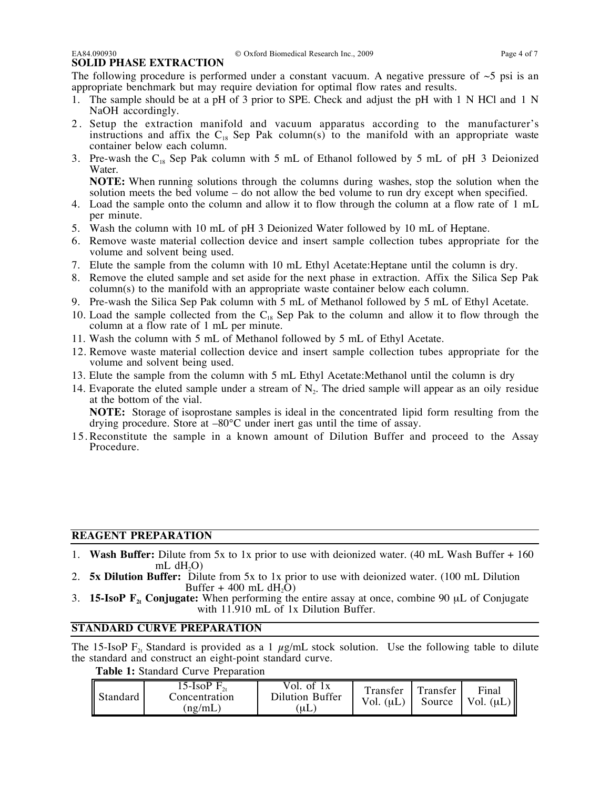# **SOLID PHASE EXTRACTION**

The following procedure is performed under a constant vacuum. A negative pressure of  $\sim$ 5 psi is an appropriate benchmark but may require deviation for optimal flow rates and results.

- 1. The sample should be at a pH of 3 prior to SPE. Check and adjust the pH with 1 N HCl and 1 N NaOH accordingly.
- 2 . Setup the extraction manifold and vacuum apparatus according to the manufacturer's instructions and affix the  $C_{18}$  Sep Pak column(s) to the manifold with an appropriate waste container below each column.
- 3. Pre-wash the  $C_{18}$  Sep Pak column with 5 mL of Ethanol followed by 5 mL of pH 3 Deionized Water.

**NOTE:** When running solutions through the columns during washes, stop the solution when the solution meets the bed volume – do not allow the bed volume to run dry except when specified.

- 4. Load the sample onto the column and allow it to flow through the column at a flow rate of 1 mL per minute.
- 5. Wash the column with 10 mL of pH 3 Deionized Water followed by 10 mL of Heptane.
- 6. Remove waste material collection device and insert sample collection tubes appropriate for the volume and solvent being used.
- 7. Elute the sample from the column with 10 mL Ethyl Acetate:Heptane until the column is dry.
- 8. Remove the eluted sample and set aside for the next phase in extraction. Affix the Silica Sep Pak column(s) to the manifold with an appropriate waste container below each column.
- 9. Pre-wash the Silica Sep Pak column with 5 mL of Methanol followed by 5 mL of Ethyl Acetate.
- 10. Load the sample collected from the  $C_{18}$  Sep Pak to the column and allow it to flow through the column at a flow rate of 1 mL per minute.
- 11. Wash the column with 5 mL of Methanol followed by 5 mL of Ethyl Acetate.
- 12. Remove waste material collection device and insert sample collection tubes appropriate for the volume and solvent being used.
- 13. Elute the sample from the column with 5 mL Ethyl Acetate:Methanol until the column is dry
- 14. Evaporate the eluted sample under a stream of  $N<sub>2</sub>$ . The dried sample will appear as an oily residue at the bottom of the vial. **NOTE:** Storage of isoprostane samples is ideal in the concentrated lipid form resulting from the
- drying procedure. Store at –80°C under inert gas until the time of assay. 15. Reconstitute the sample in a known amount of Dilution Buffer and proceed to the Assay Procedure.

### **REAGENT PREPARATION**

- 1. **Wash Buffer:** Dilute from 5x to 1x prior to use with deionized water. (40 mL Wash Buffer + 160 mL  $dH<sub>2</sub>O$
- 2. **5x Dilution Buffer:** Dilute from 5x to 1x prior to use with deionized water. (100 mL Dilution Buffer + 400 mL  $dH<sub>2</sub>O$ )
- 3. **15-IsoP**  $F_{2t}$  **Conjugate:** When performing the entire assay at once, combine 90  $\mu$ L of Conjugate with 11.910 mL of 1x Dilution Buffer.

### **STANDARD CURVE PREPARATION**

The 15-IsoP  $F_{2t}$  Standard is provided as a 1  $\mu$ g/mL stock solution. Use the following table to dilute the standard and construct an eight-point standard curve.

## **Table 1:** Standard Curve Preparation

| Standard | 15-IsoP $F_{2t}$<br>Concentration<br>(ng/mL) | Vol. of<br><b>Dilution Buffer</b><br>(uL | Transfer<br>Vol. $(uL)$ | l Transfer<br>Source | Final<br>Vol. $(\mu L)$ |
|----------|----------------------------------------------|------------------------------------------|-------------------------|----------------------|-------------------------|
|----------|----------------------------------------------|------------------------------------------|-------------------------|----------------------|-------------------------|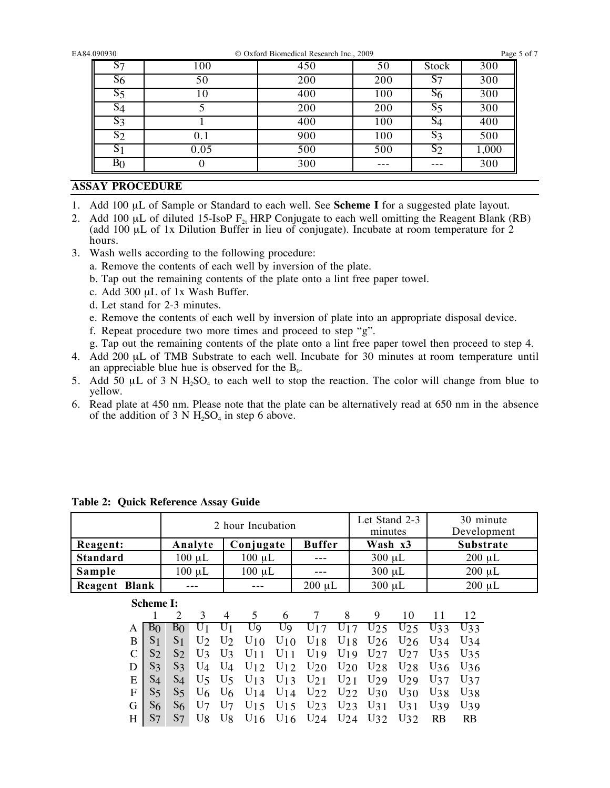| EA84.090930 |                |      | © Oxford Biomedical Research Inc., 2009 |     |                | Page 5 of 7 |
|-------------|----------------|------|-----------------------------------------|-----|----------------|-------------|
|             | ∾∽<br>O.       | 100  | 450                                     | 50  | Stock          | 300         |
|             |                | 50   | 200                                     | 200 | S7             | 300         |
|             | S <sub>5</sub> | 10   | 400                                     | 100 | S <sub>6</sub> | 300         |
|             |                |      | 200                                     | 200 | $S_5$          | 300         |
|             | $S_3$          |      | 400                                     | 100 | S4             | 400         |
|             | S <sub>2</sub> | 0.1  | 900                                     | 100 | $S_3$          | 500         |
|             |                | 0.05 | 500                                     | 500 | S <sub>2</sub> | 1,000       |
|             | Вc             | O    | 300                                     |     |                | 300         |
|             |                |      |                                         |     |                |             |

## **ASSAY PROCEDURE**

- 1. Add 100 µL of Sample or Standard to each well. See **Scheme I** for a suggested plate layout.
- 2. Add 100  $\mu$ L of diluted 15-IsoP  $F_{2t}$  HRP Conjugate to each well omitting the Reagent Blank (RB) (add 100  $\mu$ L of 1x Dilution Buffer in lieu of conjugate). Incubate at room temperature for 2 hours.
- 3. Wash wells according to the following procedure:
	- a. Remove the contents of each well by inversion of the plate.
	- b. Tap out the remaining contents of the plate onto a lint free paper towel.
	- c. Add 300 µL of 1x Wash Buffer.
	- d. Let stand for 2-3 minutes.
	- e. Remove the contents of each well by inversion of plate into an appropriate disposal device.
	- f. Repeat procedure two more times and proceed to step "g".
	- g. Tap out the remaining contents of the plate onto a lint free paper towel then proceed to step 4.
- 4. Add 200 µL of TMB Substrate to each well. Incubate for 30 minutes at room temperature until an appreciable blue hue is observed for the  $B_0$ .
- 5. Add 50  $\mu$ L of 3 N H<sub>2</sub>SO<sub>4</sub> to each well to stop the reaction. The color will change from blue to yellow.
- 6. Read plate at 450 nm. Please note that the plate can be alternatively read at 650 nm in the absence of the addition of 3 N  $H_2SO_4$  in step 6 above.

|                 |                  |                |                | 2 hour Incubation |                |                |               | Let Stand 2-3<br>minutes |                 |                 | 30 minute<br>Development |                  |  |
|-----------------|------------------|----------------|----------------|-------------------|----------------|----------------|---------------|--------------------------|-----------------|-----------------|--------------------------|------------------|--|
| Reagent:        |                  |                | Analyte        |                   | Conjugate      |                | <b>Buffer</b> |                          | Wash x3         |                 |                          | <b>Substrate</b> |  |
| <b>Standard</b> |                  |                | $100 \mu L$    |                   | $100 \mu L$    |                |               |                          | $300 \mu L$     |                 |                          | $200 \mu L$      |  |
| Sample          |                  |                | $100 \mu L$    |                   | $100 \mu L$    |                |               |                          | $300 \mu L$     |                 |                          | $200 \mu L$      |  |
| Reagent Blank   |                  |                |                |                   | ---            |                | $200 \mu L$   |                          | $300 \mu L$     |                 |                          | $200 \mu L$      |  |
|                 | <b>Scheme I:</b> |                |                |                   |                |                |               |                          |                 |                 |                          |                  |  |
|                 |                  | 2              | 3              | 4                 | 5              | 6              | 7             | 8                        | 9               | 10              | 11                       | 12               |  |
| A               | B <sub>0</sub>   | B <sub>0</sub> | U1             |                   | U <sub>9</sub> | U <sub>9</sub> | U17           | U17                      | U25             | U25             | U33                      | U33              |  |
| B               | S <sub>1</sub>   | S <sub>1</sub> | $U_2$          | U <sub>2</sub>    | $U_{10}$       | $U_{10}$       | $U_{18}$      | $U_{18}$                 | U <sub>26</sub> | U <sub>26</sub> | $U_34$                   | $U_34$           |  |
| C               | $S_2$            | $S_2$          | U3             | U3                | $U_1$ 1        | $U_1$ 1        | $U_1$ 9       | $U_1$ 9                  | U27             | U27             | U35                      | U35              |  |
| D               | $S_3$            | S <sub>3</sub> | U4             | $U_4$             | U12            | $U_12$         | $U_{20}$      | $U_{20}$                 | $U_{28}$        | U28             | U <sub>36</sub>          | U <sub>36</sub>  |  |
| E               | S4               | $S_4$          | U <sub>5</sub> | U5                | $U_1$ 3        | $U_1$ 3        | $U_{2,1}$     | $U_{2,1}$                | $U_{29}$        | $U_{29}$        | $U_37$                   | $U_37$           |  |
| F               | S <sub>5</sub>   | S <sub>5</sub> | U <sub>6</sub> | U <sub>6</sub>    | $U_14$         | $U_14$         | $U_{22}$      | $U_{22}$                 | $U_30$          | $U_30$          | U38                      | $U_38$           |  |
| G               | S <sub>6</sub>   | S <sub>6</sub> | $U_7$          | $U_7$             | U15            | $U$ 15         | U23           | U <sub>23</sub>          | $U_31$          | $U_31$          | U39                      | $U_3$            |  |
| H               | S7               | S <sub>7</sub> | U8             | U8                | $U_{16}$       | $U_{16}$       | $U_{24}$      | $U_{24}$                 | $U_32$          | $U_32$          | RB                       | RB               |  |

**Table 2: Quick Reference Assay Guide**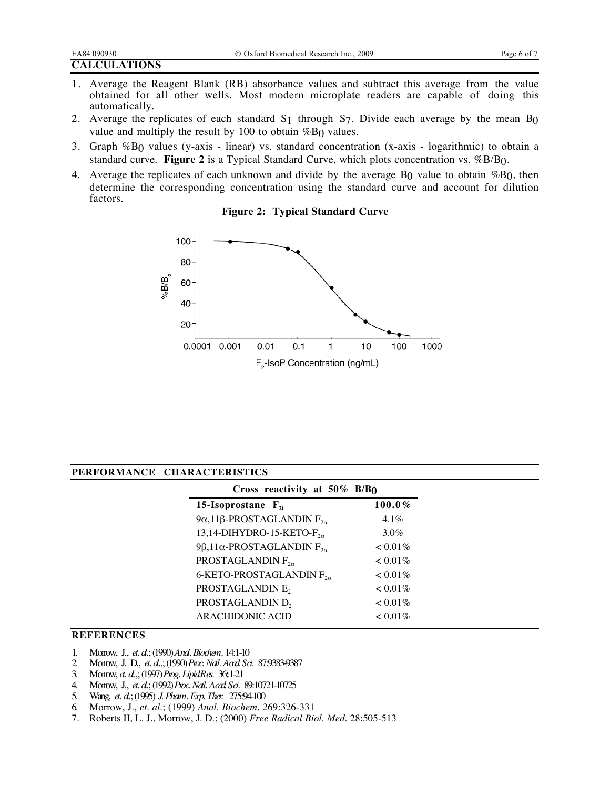- 1. Average the Reagent Blank (RB) absorbance values and subtract this average from the value obtained for all other wells. Most modern microplate readers are capable of doing this automatically.
- 2. Average the replicates of each standard  $S_1$  through  $S_7$ . Divide each average by the mean  $B_0$ value and multiply the result by 100 to obtain  $%B_0$  values.
- 3. Graph %B0 values (y-axis linear) vs. standard concentration (x-axis logarithmic) to obtain a standard curve. **Figure 2** is a Typical Standard Curve, which plots concentration vs. %B/B0.
- 4. Average the replicates of each unknown and divide by the average  $B_0$  value to obtain % $B_0$ , then determine the corresponding concentration using the standard curve and account for dilution factors.





### **PERFORMANCE CHARACTERISTICS**

| Cross reactivity at $50\%$ B/B <sub>0</sub> |
|---------------------------------------------|
| $100.0\%$                                   |
| $4.1\%$                                     |
| $3.0\%$                                     |
| $< 0.01\%$                                  |
| $< 0.01\%$                                  |
| $< 0.01\%$                                  |
| $< 0.01\%$                                  |
| $< 0.01\%$                                  |
| $< 0.01\%$                                  |
|                                             |

### **REFERENCES\_**

- 1. Morrow, J., *et. al.*;(1990)*Anal.Biochem.* 14:1-10
- 2. Morrow, J. D., *et. al*.,;(1990)*Proc.Natl.Acad. Sci.* 87:9383-9387
- 3. Morrow, *et. al*.,;(1997)*Prog. LipidRes.* 36**:**1-21
- 4. Morrow, J., *et. al.*;(1992)*Proc.Natl.Acad. Sci.* 89:10721-10725
- 5. Wang, *et. al*.;(1995) *J.Pharm.Exp. Ther.* 275:94-100
- 6. Morrow, J., *et. al*.; (1999) *Anal. Biochem.* 269:326-331
- 7. Roberts II, L. J., Morrow, J. D.; (2000) *Free Radical Biol. Med.* 28:505-513